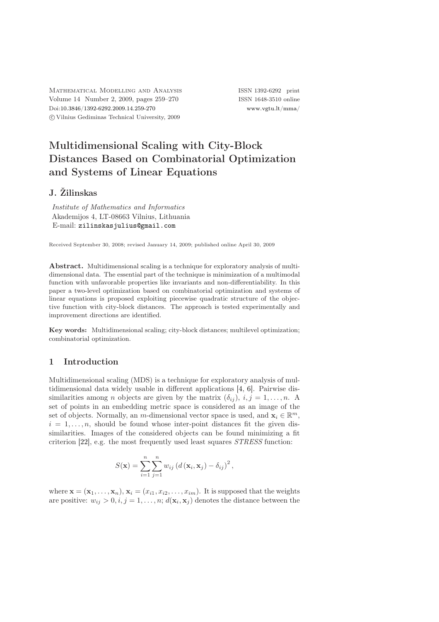MATHEMATICAL MODELLING AND ANALYSIS ISSN 1392-6292 print Volume 14 Number 2, 2009, pages 259–270 ISSN 1648-3510 online Doi[:10.3846/1392-6292.2009.14.259-270](http://dx.doi.org/10.3846/1392-6292.2009.14.259-270) [www.vgtu.lt/mma/](http://www.vgtu.lt/mma/) c Vilnius Gediminas Technical University, 2009

# Multidimensional Scaling with City-Block Distances Based on Combinatorial Optimization and Systems of Linear Equations

# J. Žilinskas

Institute of Mathematics and Informatics Akademijos 4, LT-08663 Vilnius, Lithuania E-mail: [zilinskasjulius@gmail.com](mailto:zilinskasjulius@gmail.com)

Received September 30, 2008; revised January 14, 2009; published online April 30, 2009

Abstract. Multidimensional scaling is a technique for exploratory analysis of multidimensional data. The essential part of the technique is minimization of a multimodal function with unfavorable properties like invariants and non-differentiability. In this paper a two-level optimization based on combinatorial optimization and systems of linear equations is proposed exploiting piecewise quadratic structure of the objective function with city-block distances. The approach is tested experimentally and improvement directions are identified.

Key words: Multidimensional scaling; city-block distances; multilevel optimization; combinatorial optimization.

## 1 Introduction

Multidimensional scaling (MDS) is a technique for exploratory analysis of multidimensional data widely usable in different applications [\[4,](#page-10-0) [6\]](#page-10-1). Pairwise dissimilarities among *n* objects are given by the matrix  $(\delta_{ij})$ ,  $i, j = 1, \ldots, n$ . A set of points in an embedding metric space is considered as an image of the set of objects. Normally, an m-dimensional vector space is used, and  $\mathbf{x}_i \in \mathbb{R}^m$ ,  $i = 1, \ldots, n$ , should be found whose inter-point distances fit the given dissimilarities. Images of the considered objects can be found minimizing a fit criterion  $[22]$ , e.g. the most frequently used least squares  $STRESS$  function:

$$
S(\mathbf{x}) = \sum_{i=1}^{n} \sum_{j=1}^{n} w_{ij} (d(\mathbf{x}_i, \mathbf{x}_j) - \delta_{ij})^2,
$$

where  $\mathbf{x} = (\mathbf{x}_1, \dots, \mathbf{x}_n), \mathbf{x}_i = (x_{i1}, x_{i2}, \dots, x_{im}).$  It is supposed that the weights are positive:  $w_{ij} > 0, i, j = 1, \ldots, n; d(\mathbf{x}_i, \mathbf{x}_j)$  denotes the distance between the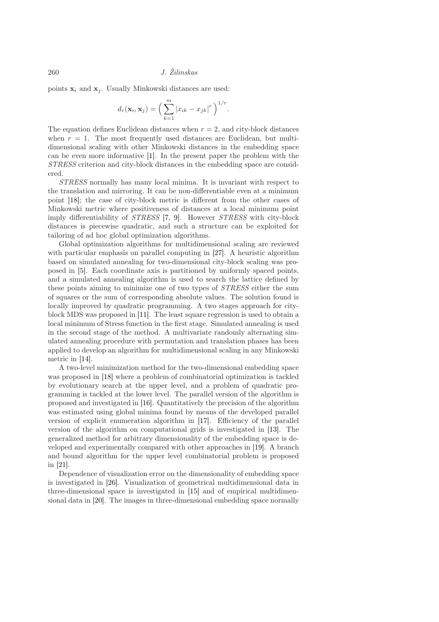points  $x_i$  and  $x_j$ . Usually Minkowski distances are used:

$$
d_r(\mathbf{x}_i, \mathbf{x}_j) = \left(\sum_{k=1}^m |x_{ik} - x_{jk}|^r\right)^{1/r}.
$$

The equation defines Euclidean distances when  $r = 2$ , and city-block distances when  $r = 1$ . The most frequently used distances are Euclidean, but multidimensional scaling with other Minkowski distances in the embedding space can be even more informative [\[1\]](#page-10-2). In the present paper the problem with the STRESS criterion and city-block distances in the embedding space are considered.

STRESS normally has many local minima. It is invariant with respect to the translation and mirroring. It can be non-differentiable even at a minimum point [\[18\]](#page-11-1); the case of city-block metric is different from the other cases of Minkowski metric where positiveness of distances at a local minimum point imply differentiability of STRESS [\[7,](#page-10-3) [9\]](#page-10-4). However STRESS with city-block distances is piecewise quadratic, and such a structure can be exploited for tailoring of ad hoc global optimization algorithms.

Global optimization algorithms for multidimensional scaling are reviewed with particular emphasis on parallel computing in [\[27\]](#page-11-2). A heuristic algorithm based on simulated annealing for two-dimensional city-block scaling was proposed in [\[5\]](#page-10-5). Each coordinate axis is partitioned by uniformly spaced points, and a simulated annealing algorithm is used to search the lattice defined by these points aiming to minimize one of two types of STRESS either the sum of squares or the sum of corresponding absolute values. The solution found is locally improved by quadratic programming. A two stages approach for cityblock MDS was proposed in [\[11\]](#page-10-6). The least square regression is used to obtain a local minimum of Stress function in the first stage. Simulated annealing is used in the second stage of the method. A multivariate randomly alternating simulated annealing procedure with permutation and translation phases has been applied to develop an algorithm for multidimensional scaling in any Minkowski metric in [\[14\]](#page-10-7).

A two-level minimization method for the two-dimensional embedding space was proposed in [\[18\]](#page-11-1) where a problem of combinatorial optimization is tackled by evolutionary search at the upper level, and a problem of quadratic programming is tackled at the lower level. The parallel version of the algorithm is proposed and investigated in [\[16\]](#page-10-8). Quantitatively the precision of the algorithm was estimated using global minima found by means of the developed parallel version of explicit enumeration algorithm in [\[17\]](#page-11-3). Efficiency of the parallel version of the algorithm on computational grids is investigated in [\[13\]](#page-10-9). The generalized method for arbitrary dimensionality of the embedding space is developed and experimentally compared with other approaches in [\[19\]](#page-11-4). A branch and bound algorithm for the upper level combinatorial problem is proposed in [\[21\]](#page-11-5).

Dependence of visualization error on the dimensionality of embedding space is investigated in [\[26\]](#page-11-6). Visualization of geometrical multidimensional data in three-dimensional space is investigated in [\[15\]](#page-10-10) and of empirical multidimensional data in [\[20\]](#page-11-7). The images in three-dimensional embedding space normally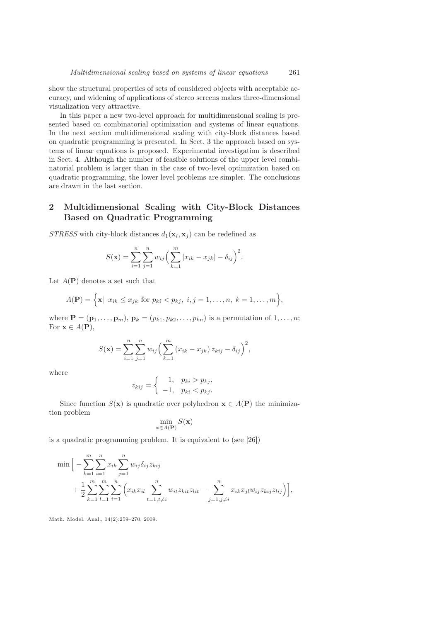show the structural properties of sets of considered objects with acceptable accuracy, and widening of applications of stereo screens makes three-dimensional visualization very attractive.

In this paper a new two-level approach for multidimensional scaling is presented based on combinatorial optimization and systems of linear equations. In the next section multidimensional scaling with city-block distances based on quadratic programming is presented. In Sect. [3](#page-3-0) the approach based on systems of linear equations is proposed. Experimental investigation is described in Sect. [4.](#page-6-0) Although the number of feasible solutions of the upper level combinatorial problem is larger than in the case of two-level optimization based on quadratic programming, the lower level problems are simpler. The conclusions are drawn in the last section.

# 2 Multidimensional Scaling with City-Block Distances Based on Quadratic Programming

STRESS with city-block distances  $d_1(\mathbf{x}_i, \mathbf{x}_j)$  can be redefined as

$$
S(\mathbf{x}) = \sum_{i=1}^{n} \sum_{j=1}^{n} w_{ij} \left( \sum_{k=1}^{m} |x_{ik} - x_{jk}| - \delta_{ij} \right)^2.
$$

Let  $A(\mathbf{P})$  denotes a set such that

$$
A(\mathbf{P}) = \Big\{ \mathbf{x} \vert \ x_{ik} \leq x_{jk} \text{ for } p_{ki} < p_{kj}, \ i, j = 1, \dots, n, \ k = 1, \dots, m \Big\},\
$$

where  $\mathbf{P} = (\mathbf{p}_1, \ldots, \mathbf{p}_m)$ ,  $\mathbf{p}_k = (p_{k1}, p_{k2}, \ldots, p_{kn})$  is a permutation of  $1, \ldots, n$ ; For  $\mathbf{x} \in A(\mathbf{P}),$ 

$$
S(\mathbf{x}) = \sum_{i=1}^{n} \sum_{j=1}^{n} w_{ij} \left( \sum_{k=1}^{m} (x_{ik} - x_{jk}) z_{kij} - \delta_{ij} \right)^2,
$$

where

$$
z_{kij} = \begin{cases} 1, & p_{ki} > p_{kj}, \\ -1, & p_{ki} < p_{kj}. \end{cases}
$$

Since function  $S(\mathbf{x})$  is quadratic over polyhedron  $\mathbf{x} \in A(\mathbf{P})$  the minimization problem

$$
\min_{\mathbf{x} \in A(\mathbf{P})} S(\mathbf{x})
$$

is a quadratic programming problem. It is equivalent to (see [\[26\]](#page-11-6))

$$
\min \Big[ -\sum_{k=1}^{m} \sum_{i=1}^{n} x_{ik} \sum_{j=1}^{n} w_{ij} \delta_{ij} z_{kij} + \frac{1}{2} \sum_{k=1}^{m} \sum_{l=1}^{m} \sum_{i=1}^{m} \Big( x_{ik} x_{il} \sum_{t=1, t \neq i}^{n} w_{it} z_{kit} z_{lit} - \sum_{j=1, j \neq i}^{n} x_{ik} x_{jl} w_{ij} z_{kij} z_{lij} \Big) \Big],
$$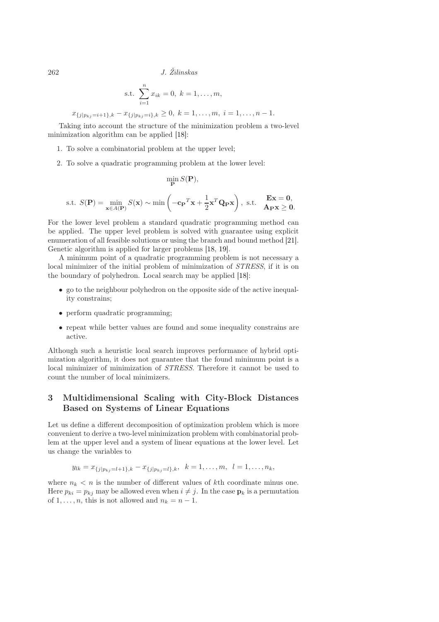$262$  J.  $\check{Z}$ ilinskas

s.t. 
$$
\sum_{i=1}^{n} x_{ik} = 0, k = 1, ..., m,
$$

$$
x_{\{j|p_{kj}=i+1\},k}-x_{\{j|p_{kj}=i\},k}\geq 0,\ k=1,\ldots,m,\ i=1,\ldots,n-1.
$$

Taking into account the structure of the minimization problem a two-level minimization algorithm can be applied [\[18\]](#page-11-1):

- 1. To solve a combinatorial problem at the upper level;
- 2. To solve a quadratic programming problem at the lower level:

$$
\min_{\mathbf{P}} S(\mathbf{P}),
$$
s.t.  $S(\mathbf{P}) = \min_{\mathbf{x} \in A(\mathbf{P})} S(\mathbf{x}) \sim \min \left( -\mathbf{c}_{\mathbf{P}}^T \mathbf{x} + \frac{1}{2} \mathbf{x}^T \mathbf{Q}_{\mathbf{P}} \mathbf{x} \right), \text{ s.t. } \mathbf{E} \mathbf{x} = \mathbf{0},$   
 $A_{\mathbf{P}} \mathbf{x} \ge \mathbf{0}.$ 

For the lower level problem a standard quadratic programming method can be applied. The upper level problem is solved with guarantee using explicit enumeration of all feasible solutions or using the branch and bound method [\[21\]](#page-11-5). Genetic algorithm is applied for larger problems [\[18,](#page-11-1) [19\]](#page-11-4).

A minimum point of a quadratic programming problem is not necessary a local minimizer of the initial problem of minimization of STRESS, if it is on the boundary of polyhedron. Local search may be applied [\[18\]](#page-11-1):

- go to the neighbour polyhedron on the opposite side of the active inequality constrains;
- perform quadratic programming;
- repeat while better values are found and some inequality constrains are active.

Although such a heuristic local search improves performance of hybrid optimization algorithm, it does not guarantee that the found minimum point is a local minimizer of minimization of STRESS. Therefore it cannot be used to count the number of local minimizers.

# <span id="page-3-0"></span>3 Multidimensional Scaling with City-Block Distances Based on Systems of Linear Equations

Let us define a different decomposition of optimization problem which is more convenient to derive a two-level minimization problem with combinatorial problem at the upper level and a system of linear equations at the lower level. Let us change the variables to

$$
y_{lk} = x_{\{j|p_{kj}=l+1\},k} - x_{\{j|p_{kj}=l\},k}, \ \ k = 1,\ldots,m, \ \ l = 1,\ldots,n_k,
$$

where  $n_k < n$  is the number of different values of kth coordinate minus one. Here  $p_{ki} = p_{kj}$  may be allowed even when  $i \neq j$ . In the case  $\mathbf{p}_k$  is a permutation of 1, ..., *n*, this is not allowed and  $n_k = n - 1$ .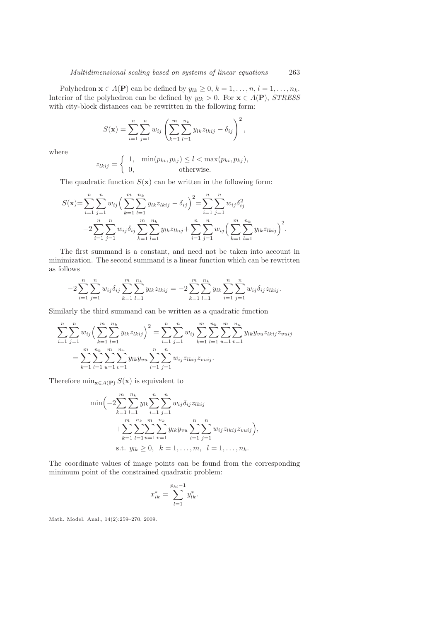Polyhedron  $\mathbf{x} \in A(\mathbf{P})$  can be defined by  $y_{lk} \geq 0, k = 1, \ldots, n, l = 1, \ldots, n_k$ . Interior of the polyhedron can be defined by  $y_{lk} > 0$ . For  $\mathbf{x} \in A(\mathbf{P})$ , *STRESS* with city-block distances can be rewritten in the following form:

$$
S(\mathbf{x}) = \sum_{i=1}^{n} \sum_{j=1}^{n} w_{ij} \left( \sum_{k=1}^{m} \sum_{l=1}^{n_k} y_{lk} z_{lkij} - \delta_{ij} \right)^2,
$$

where

$$
z_{lkij} = \begin{cases} 1, & \min(p_{ki}, p_{kj}) \le l < \max(p_{ki}, p_{kj}), \\ 0, & \text{otherwise.} \end{cases}
$$

The quadratic function  $S(\mathbf{x})$  can be written in the following form:

$$
S(\mathbf{x}) = \sum_{i=1}^{n} \sum_{j=1}^{n} w_{ij} \left( \sum_{k=1}^{m} \sum_{l=1}^{n_k} y_{lk} z_{lkij} - \delta_{ij} \right)^2 = \sum_{i=1}^{n} \sum_{j=1}^{n} w_{ij} \delta_{ij}^2
$$
  
-2
$$
\sum_{i=1}^{n} \sum_{j=1}^{n} w_{ij} \delta_{ij} \sum_{k=1}^{m} \sum_{l=1}^{n_k} y_{lk} z_{lkij} + \sum_{i=1}^{n} \sum_{j=1}^{n} w_{ij} \left( \sum_{k=1}^{m} \sum_{l=1}^{n_k} y_{lk} z_{lkij} \right)^2.
$$

The first summand is a constant, and need not be taken into account in minimization. The second summand is a linear function which can be rewritten as follows

$$
-2\sum_{i=1}^{n}\sum_{j=1}^{n}w_{ij}\delta_{ij}\sum_{k=1}^{m}\sum_{l=1}^{n_k}y_{lk}z_{lkij} = -2\sum_{k=1}^{m}\sum_{l=1}^{n_k}y_{lk}\sum_{i=1}^{n}\sum_{j=1}^{n}w_{ij}\delta_{ij}z_{lkij}.
$$

Similarly the third summand can be written as a quadratic function

$$
\sum_{i=1}^{n} \sum_{j=1}^{n} w_{ij} \left( \sum_{k=1}^{m} \sum_{l=1}^{n_k} y_{lk} z_{lkij} \right)^2 = \sum_{i=1}^{n} \sum_{j=1}^{n} w_{ij} \sum_{k=1}^{m} \sum_{l=1}^{n_k} \sum_{u=1}^{m} \sum_{v=1}^{n_u} y_{lk} y_{vu} z_{lkij} z_{vuij}
$$

$$
= \sum_{k=1}^{m} \sum_{l=1}^{n_k} \sum_{u=1}^{m} \sum_{v=1}^{n_u} y_{lk} y_{vu} \sum_{i=1}^{n} \sum_{j=1}^{n_u} w_{ij} z_{lkij} z_{vuij}.
$$

Therefore  $\min_{\mathbf{x} \in A(\mathbf{P})} S(\mathbf{x})$  is equivalent to

$$
\min\left(-2\sum_{k=1}^{m}\sum_{l=1}^{n_k}y_{lk}\sum_{i=1}^{n}\sum_{j=1}^{n}w_{ij}\delta_{ij}z_{lkij} + \sum_{k=1}^{m}\sum_{l=1}^{n_k}\sum_{u=1}^{m}\sum_{v=1}^{n_k}y_{lk}y_{vu}\sum_{i=1}^{n}\sum_{j=1}^{n}w_{ij}z_{lkij}z_{vuij}\right),
$$
  
s.t.  $y_{lk}\geq 0, k = 1,...,m, l = 1,..., n_k.$ 

The coordinate values of image points can be found from the corresponding minimum point of the constrained quadratic problem:

$$
x_{ik}^* = \sum_{l=1}^{p_{ki}-1} y_{lk}^*.
$$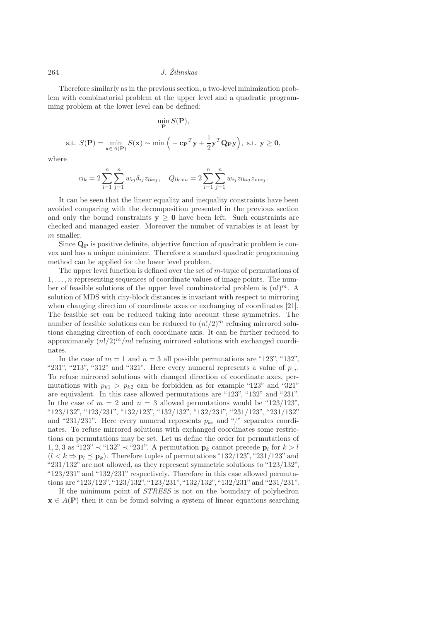#### $264$  J.  $\check{Z}$ ilinskas

Therefore similarly as in the previous section, a two-level minimization problem with combinatorial problem at the upper level and a quadratic programming problem at the lower level can be defined:

$$
\min_{\mathbf{P}} S(\mathbf{P}),
$$
s.t.  $S(\mathbf{P}) = \min_{\mathbf{x} \in A(\mathbf{P})} S(\mathbf{x}) \sim \min\left(-\mathbf{c}_{\mathbf{P}}^{T}\mathbf{y} + \frac{1}{2}\mathbf{y}^{T}\mathbf{Q}_{\mathbf{P}}\mathbf{y}\right), \text{ s.t. } \mathbf{y} \ge \mathbf{0},$ 

where

$$
c_{lk} = 2\sum_{i=1}^{n} \sum_{j=1}^{n} w_{ij} \delta_{ij} z_{lkij}, \quad Q_{lk \; vu} = 2\sum_{i=1}^{n} \sum_{j=1}^{n} w_{ij} z_{lkij} z_{vuij}.
$$

It can be seen that the linear equality and inequality constraints have been avoided comparing with the decomposition presented in the previous section and only the bound constraints  $y > 0$  have been left. Such constraints are checked and managed easier. Moreover the number of variables is at least by m smaller.

Since  $\mathbf{Q}_{\mathbf{P}}$  is positive definite, objective function of quadratic problem is convex and has a unique minimizer. Therefore a standard quadratic programming method can be applied for the lower level problem.

The upper level function is defined over the set of  $m$ -tuple of permutations of  $1, \ldots, n$  representing sequences of coordinate values of image points. The number of feasible solutions of the upper level combinatorial problem is  $(n!)^m$ . A solution of MDS with city-block distances is invariant with respect to mirroring when changing direction of coordinate axes or exchanging of coordinates [\[21\]](#page-11-5). The feasible set can be reduced taking into account these symmetries. The number of feasible solutions can be reduced to  $(n!/2)^m$  refusing mirrored solutions changing direction of each coordinate axis. It can be further reduced to approximately  $(n!/2)^m/m!$  refusing mirrored solutions with exchanged coordinates.

In the case of  $m = 1$  and  $n = 3$  all possible permutations are "123", "132", "231", "213", "312" and "321". Here every numeral represents a value of  $p_{1i}$ . To refuse mirrored solutions with changed direction of coordinate axes, permutations with  $p_{k1} > p_{k2}$  can be forbidden as for example "123" and "321" are equivalent. In this case allowed permutations are "123", "132" and "231". In the case of  $m = 2$  and  $n = 3$  allowed permutations would be "123/123" "123/132", "123/231", "132/123", "132/132", "132/231", "231/123", "231/132" and "231/231". Here every numeral represents  $p_{ki}$  and "/" separates coordinates. To refuse mirrored solutions with exchanged coordinates some restrictions on permutations may be set. Let us define the order for permutations of 1, 2, 3 as "123"  $\prec$  "132"  $\prec$  "231". A permutation  $p_k$  cannot precede  $p_l$  for  $k > l$  $(l < k \Rightarrow \mathbf{p}_l \leq \mathbf{p}_k)$ . Therefore tuples of permutations "132/123", "231/123" and "231/132" are not allowed, as they represent symmetric solutions to "123/132", "123/231" and "132/231" respectively. Therefore in this case allowed permutations are "123/123", "123/132", "123/231", "132/132", "132/231" and "231/231".

If the minimum point of STRESS is not on the boundary of polyhedron  $\mathbf{x} \in A(\mathbf{P})$  then it can be found solving a system of linear equations searching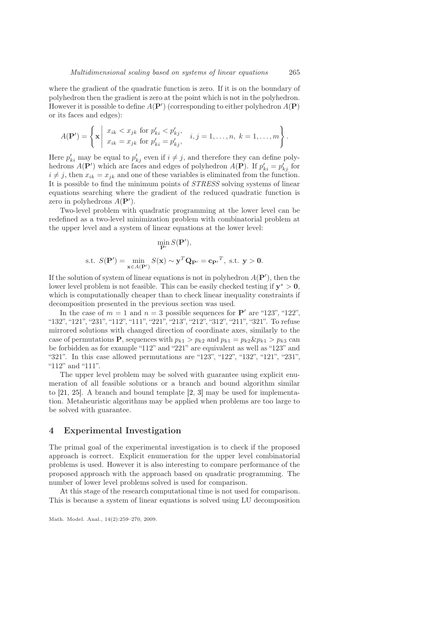where the gradient of the quadratic function is zero. If it is on the boundary of polyhedron then the gradient is zero at the point which is not in the polyhedron. However it is possible to define  $A(\mathbf{P}')$  (corresponding to either polyhedron  $A(\mathbf{P})$ ) or its faces and edges):

$$
A(\mathbf{P}') = \left\{ \mathbf{x} \middle| \begin{array}{l} x_{ik} < x_{jk} \text{ for } p'_{ki} < p'_{kj}, \\ x_{ik} = x_{jk} \text{ for } p'_{ki} = p'_{kj}, \end{array} \right. i, j = 1, \dots, n, \ k = 1, \dots, m \right\}.
$$

Here  $p'_{ki}$  may be equal to  $p'_{kj}$  even if  $i \neq j$ , and therefore they can define polyhedrons  $A(\mathbf{P}')$  which are faces and edges of polyhedron  $A(\mathbf{P})$ . If  $p'_{ki} = p'_{kj}$  for  $i \neq j$ , then  $x_{ik} = x_{jk}$  and one of these variables is eliminated from the function. It is possible to find the minimum points of STRESS solving systems of linear equations searching where the gradient of the reduced quadratic function is zero in polyhedrons  $A(\mathbf{P}')$ .

Two-level problem with quadratic programming at the lower level can be redefined as a two-level minimization problem with combinatorial problem at the upper level and a system of linear equations at the lower level:

$$
\min_{\mathbf{P}'} S(\mathbf{P}'),
$$
  
s.t.  $S(\mathbf{P}') = \min_{\mathbf{x} \in A(\mathbf{P}')} S(\mathbf{x}) \sim \mathbf{y}^T \mathbf{Q}_{\mathbf{P}'} = \mathbf{c}_{\mathbf{P}'}^T$ , s.t.  $\mathbf{y} > \mathbf{0}$ .

If the solution of system of linear equations is not in polyhedron  $A(\mathbf{P}'),$  then the lower level problem is not feasible. This can be easily checked testing if  $y^* > 0$ , which is computationally cheaper than to check linear inequality constraints if decomposition presented in the previous section was used.

In the case of  $m = 1$  and  $n = 3$  possible sequences for  $P'$  are "123", "122", "132", "121", "231", "112", "111", "221", "213", "212", "312", "211", "321". To refuse mirrored solutions with changed direction of coordinate axes, similarly to the case of permutations **P**, sequences with  $p_{k1} > p_{k2}$  and  $p_{k1} = p_{k2} \& p_{k1} > p_{k3}$  can be forbidden as for example "112" and "221" are equivalent as well as "123" and "321". In this case allowed permutations are "123", "122", "132", "121", "231", "112" and "111".

The upper level problem may be solved with guarantee using explicit enumeration of all feasible solutions or a branch and bound algorithm similar to [\[21,](#page-11-5) [25\]](#page-11-8). A branch and bound template [\[2,](#page-10-11) [3\]](#page-10-12) may be used for implementation. Metaheuristic algorithms may be applied when problems are too large to be solved with guarantee.

#### <span id="page-6-0"></span>4 Experimental Investigation

The primal goal of the experimental investigation is to check if the proposed approach is correct. Explicit enumeration for the upper level combinatorial problems is used. However it is also interesting to compare performance of the proposed approach with the approach based on quadratic programming. The number of lower level problems solved is used for comparison.

At this stage of the research computational time is not used for comparison. This is because a system of linear equations is solved using LU decomposition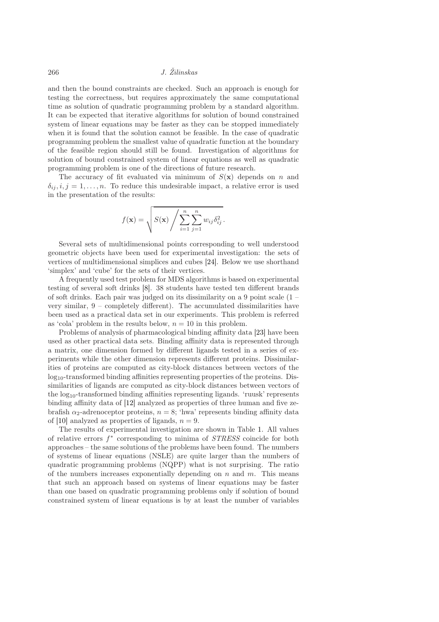## 266 J. Žilinskas

and then the bound constraints are checked. Such an approach is enough for testing the correctness, but requires approximately the same computational time as solution of quadratic programming problem by a standard algorithm. It can be expected that iterative algorithms for solution of bound constrained system of linear equations may be faster as they can be stopped immediately when it is found that the solution cannot be feasible. In the case of quadratic programming problem the smallest value of quadratic function at the boundary of the feasible region should still be found. Investigation of algorithms for solution of bound constrained system of linear equations as well as quadratic programming problem is one of the directions of future research.

The accuracy of fit evaluated via minimum of  $S(\mathbf{x})$  depends on n and  $\delta_{ij}, i, j = 1, \ldots, n$ . To reduce this undesirable impact, a relative error is used in the presentation of the results:

$$
f(\mathbf{x}) = \sqrt{S(\mathbf{x}) / \sum_{i=1}^{n} \sum_{j=1}^{n} w_{ij} \delta_{ij}^{2}}.
$$

Several sets of multidimensional points corresponding to well understood geometric objects have been used for experimental investigation: the sets of vertices of multidimensional simplices and cubes [\[24\]](#page-11-9). Below we use shorthand 'simplex' and 'cube' for the sets of their vertices.

A frequently used test problem for MDS algorithms is based on experimental testing of several soft drinks [\[8\]](#page-10-13). 38 students have tested ten different brands of soft drinks. Each pair was judged on its dissimilarity on a 9 point scale (1 – very similar, 9 – completely different). The accumulated dissimilarities have been used as a practical data set in our experiments. This problem is referred as 'cola' problem in the results below,  $n = 10$  in this problem.

Problems of analysis of pharmacological binding affinity data [\[23\]](#page-11-10) have been used as other practical data sets. Binding affinity data is represented through a matrix, one dimension formed by different ligands tested in a series of experiments while the other dimension represents different proteins. Dissimilarities of proteins are computed as city-block distances between vectors of the log10-transformed binding affinities representing properties of the proteins. Dissimilarities of ligands are computed as city-block distances between vectors of the log10-transformed binding affinities representing ligands. 'ruusk' represents binding affinity data of [\[12\]](#page-10-14) analyzed as properties of three human and five zebrafish  $\alpha_2$ -adrenoceptor proteins,  $n = 8$ ; 'hwa' represents binding affinity data of [\[10\]](#page-10-15) analyzed as properties of ligands,  $n = 9$ .

The results of experimental investigation are shown in Table [1.](#page-8-0) All values of relative errors  $f^*$  corresponding to minima of STRESS coincide for both approaches – the same solutions of the problems have been found. The numbers of systems of linear equations (NSLE) are quite larger than the numbers of quadratic programming problems (NQPP) what is not surprising. The ratio of the numbers increases exponentially depending on  $n$  and  $m$ . This means that such an approach based on systems of linear equations may be faster than one based on quadratic programming problems only if solution of bound constrained system of linear equations is by at least the number of variables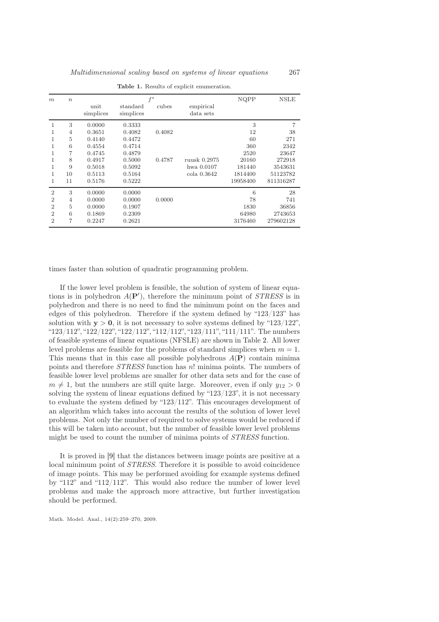| m              | $\boldsymbol{n}$ | $f^*$     |           |        |              | NQPP     | <b>NSLE</b> |
|----------------|------------------|-----------|-----------|--------|--------------|----------|-------------|
|                |                  | unit      | standard  | cubes  | empirical    |          |             |
|                |                  | simplices | simplices |        | data sets    |          |             |
| 1              | 3                | 0.0000    | 0.3333    |        |              | 3        | 7           |
|                | $\overline{4}$   | 0.3651    | 0.4082    | 0.4082 |              | 12       | 38          |
|                | 5                | 0.4140    | 0.4472    |        |              | 60       | 271         |
| 1              | 6                | 0.4554    | 0.4714    |        |              | 360      | 2342        |
|                | 7                | 0.4745    | 0.4879    |        |              | 2520     | 23647       |
| 1              | 8                | 0.4917    | 0.5000    | 0.4787 | ruusk 0.2975 | 20160    | 272918      |
| 1              | 9                | 0.5018    | 0.5092    |        | hwa 0.0107   | 181440   | 3543631     |
| 1              | 10               | 0.5113    | 0.5164    |        | cola 0.3642  | 1814400  | 51123782    |
| 1              | 11               | 0.5176    | 0.5222    |        |              | 19958400 | 811316287   |
| $\overline{2}$ | 3                | 0.0000    | 0.0000    |        |              | 6        | 28          |
| $\overline{2}$ | $\overline{4}$   | 0.0000    | 0.0000    | 0.0000 |              | 78       | 741         |
| $\overline{2}$ | 5                | 0.0000    | 0.1907    |        |              | 1830     | 36856       |
| $\overline{2}$ | 6                | 0.1869    | 0.2309    |        |              | 64980    | 2743653     |
| $\overline{2}$ | 7                | 0.2247    | 0.2621    |        |              | 3176460  | 279602128   |

<span id="page-8-0"></span>Table 1. Results of explicit enumeration.

times faster than solution of quadratic programming problem.

If the lower level problem is feasible, the solution of system of linear equations is in polyhedron  $A(\mathbf{P}')$ , therefore the minimum point of *STRESS* is in polyhedron and there is no need to find the minimum point on the faces and edges of this polyhedron. Therefore if the system defined by "123/123" has solution with  $y > 0$ , it is not necessary to solve systems defined by "123/122", "123/112", "122/122", "122/112", "112/112", "123/111", "111/111". The numbers of feasible systems of linear equations (NFSLE) are shown in Table [2.](#page-9-0) All lower level problems are feasible for the problems of standard simplices when  $m = 1$ . This means that in this case all possible polyhedrons  $A(\mathbf{P})$  contain minima points and therefore STRESS function has n! minima points. The numbers of feasible lower level problems are smaller for other data sets and for the case of  $m \neq 1$ , but the numbers are still quite large. Moreover, even if only  $y_{12} > 0$ solving the system of linear equations defined by " $123/123$ ", it is not necessary to evaluate the system defined by "123/112". This encourages development of an algorithm which takes into account the results of the solution of lower level problems. Not only the number of required to solve systems would be reduced if this will be taken into account, but the number of feasible lower level problems might be used to count the number of minima points of STRESS function.

It is proved in [\[9\]](#page-10-4) that the distances between image points are positive at a local minimum point of STRESS. Therefore it is possible to avoid coincidence of image points. This may be performed avoiding for example systems defined by "112" and "112/112". This would also reduce the number of lower level problems and make the approach more attractive, but further investigation should be performed.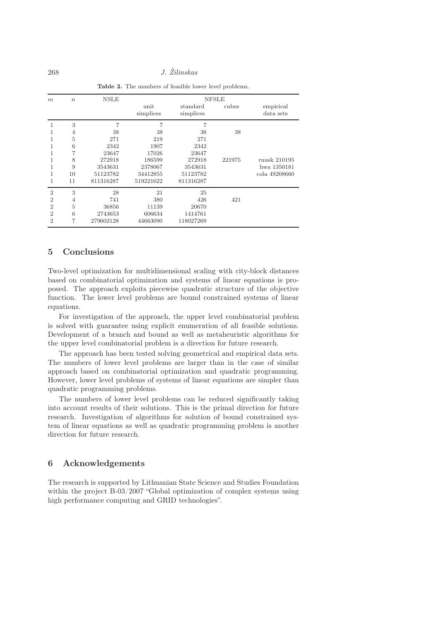| m              | $\boldsymbol{n}$ | NSLE      | <b>NFSLE</b>      |                       |        |                        |  |
|----------------|------------------|-----------|-------------------|-----------------------|--------|------------------------|--|
|                |                  |           | unit<br>simplices | standard<br>simplices | cubes  | empirical<br>data sets |  |
| 1              | 3                | 7         | 7                 | 7                     |        |                        |  |
|                | 4                | 38        | 38                | 38                    | 38     |                        |  |
|                | 5                | 271       | 219               | 271                   |        |                        |  |
|                | 6                | 2342      | 1907              | 2342                  |        |                        |  |
|                | 7                | 23647     | 17026             | 23647                 |        |                        |  |
|                | 8                | 272918    | 186599            | 272918                | 221975 | ruusk 210195           |  |
|                | 9                | 3543631   | 2378067           | 3543631               |        | hwa 1350181            |  |
|                | 10               | 51123782  | 34412855          | 51123782              |        | cola 49208660          |  |
|                | 11               | 811316287 | 519221622         | 811316287             |        |                        |  |
| $\overline{2}$ | 3                | 28        | 21                | 25                    |        |                        |  |
| $\overline{2}$ | 4                | 741       | 380               | 426                   | 421    |                        |  |
| $\overline{2}$ | 5                | 36856     | 11139             | 20670                 |        |                        |  |
| $\overline{2}$ | 6                | 2743653   | 606634            | 1414761               |        |                        |  |
| $\overline{2}$ | 7                | 279602128 | 44663090          | 118027269             |        |                        |  |

<span id="page-9-0"></span>Table 2. The numbers of feasible lower level problems.

## 5 Conclusions

Two-level optimization for multidimensional scaling with city-block distances based on combinatorial optimization and systems of linear equations is proposed. The approach exploits piecewise quadratic structure of the objective function. The lower level problems are bound constrained systems of linear equations.

For investigation of the approach, the upper level combinatorial problem is solved with guarantee using explicit enumeration of all feasible solutions. Development of a branch and bound as well as metaheuristic algorithms for the upper level combinatorial problem is a direction for future research.

The approach has been tested solving geometrical and empirical data sets. The numbers of lower level problems are larger than in the case of similar approach based on combinatorial optimization and quadratic programming. However, lower level problems of systems of linear equations are simpler than quadratic programming problems.

The numbers of lower level problems can be reduced significantly taking into account results of their solutions. This is the primal direction for future research. Investigation of algorithms for solution of bound constrained system of linear equations as well as quadratic programming problem is another direction for future research.

### 6 Acknowledgements

The research is supported by Lithuanian State Science and Studies Foundation within the project B-03/2007 "Global optimization of complex systems using high performance computing and GRID technologies".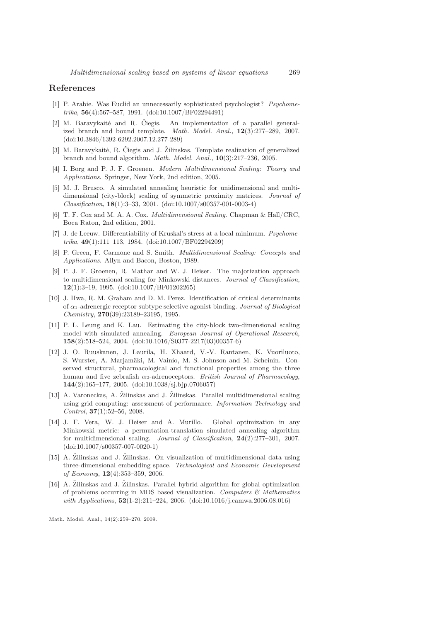#### <span id="page-10-2"></span>References

- [1] P. Arabie. Was Euclid an unnecessarily sophisticated psychologist? *Psychometrika*, 56(4):567–587, 1991. (doi:10.1007/BF02294491)
- <span id="page-10-11"></span>[2] M. Baravykaitė and R. Čiegis. An implementation of a parallel generalized branch and bound template. *Math. Model. Anal.*, 12(3):277–289, 2007. (doi:10.3846/1392-6292.2007.12.277-289)
- <span id="page-10-12"></span>[3] M. Baravykaitė, R. Čiegis and J. Žilinskas. Template realization of generalized branch and bound algorithm. *Math. Model. Anal.*, 10(3):217–236, 2005.
- <span id="page-10-0"></span>[4] I. Borg and P. J. F. Groenen. *Modern Multidimensional Scaling: Theory and Applications*. Springer, New York, 2nd edition, 2005.
- <span id="page-10-5"></span>[5] M. J. Brusco. A simulated annealing heuristic for unidimensional and multidimensional (city-block) scaling of symmetric proximity matrices. *Journal of Classification*, 18(1):3–33, 2001. (doi:10.1007/s00357-001-0003-4)
- <span id="page-10-3"></span><span id="page-10-1"></span>[6] T. F. Cox and M. A. A. Cox. *Multidimensional Scaling*. Chapman & Hall/CRC, Boca Raton, 2nd edition, 2001.
- [7] J. de Leeuw. Differentiability of Kruskal's stress at a local minimum. *Psychometrika*, 49(1):111–113, 1984. (doi:10.1007/BF02294209)
- <span id="page-10-13"></span>[8] P. Green, F. Carmone and S. Smith. *Multidimensional Scaling: Concepts and Applications*. Allyn and Bacon, Boston, 1989.
- <span id="page-10-4"></span>[9] P. J. F. Groenen, R. Mathar and W. J. Heiser. The majorization approach to multidimensional scaling for Minkowski distances. *Journal of Classification*, 12(1):3–19, 1995. (doi:10.1007/BF01202265)
- <span id="page-10-15"></span>[10] J. Hwa, R. M. Graham and D. M. Perez. Identification of critical determinants of α1-adrenergic receptor subtype selective agonist binding. *Journal of Biological Chemistry*, 270(39):23189–23195, 1995.
- <span id="page-10-6"></span>[11] P. L. Leung and K. Lau. Estimating the city-block two-dimensional scaling model with simulated annealing. *European Journal of Operational Research*, 158(2):518–524, 2004. (doi:10.1016/S0377-2217(03)00357-6)
- <span id="page-10-14"></span>[12] J. O. Ruuskanen, J. Laurila, H. Xhaard, V.-V. Rantanen, K. Vuoriluoto, S. Wurster, A. Marjamäki, M. Vainio, M. S. Johnson and M. Scheinin. Conserved structural, pharmacological and functional properties among the three human and five zebrafish  $\alpha_2$ -adrenoceptors. *British Journal of Pharmacology*, 144(2):165–177, 2005. (doi:10.1038/sj.bjp.0706057)
- <span id="page-10-9"></span>[13] A. Varoneckas, A. Žilinskas and J. Žilinskas. Parallel multidimensional scaling using grid computing: assessment of performance. *Information Technology and Control*, 37(1):52–56, 2008.
- <span id="page-10-7"></span>[14] J. F. Vera, W. J. Heiser and A. Murillo. Global optimization in any Minkowski metric: a permutation-translation simulated annealing algorithm for multidimensional scaling. *Journal of Classification*, 24(2):277–301, 2007. (doi:10.1007/s00357-007-0020-1)
- <span id="page-10-10"></span>[15] A. Žilinskas and J. Žilinskas. On visualization of multidimensional data using three-dimensional embedding space. *Technological and Economic Development of Economy*, 12(4):353–359, 2006.
- <span id="page-10-8"></span>[16] A. Žilinskas and J. Žilinskas. Parallel hybrid algorithm for global optimization of problems occurring in MDS based visualization. *Computers & Mathematics with Applications*, 52(1-2):211–224, 2006. (doi:10.1016/j.camwa.2006.08.016)